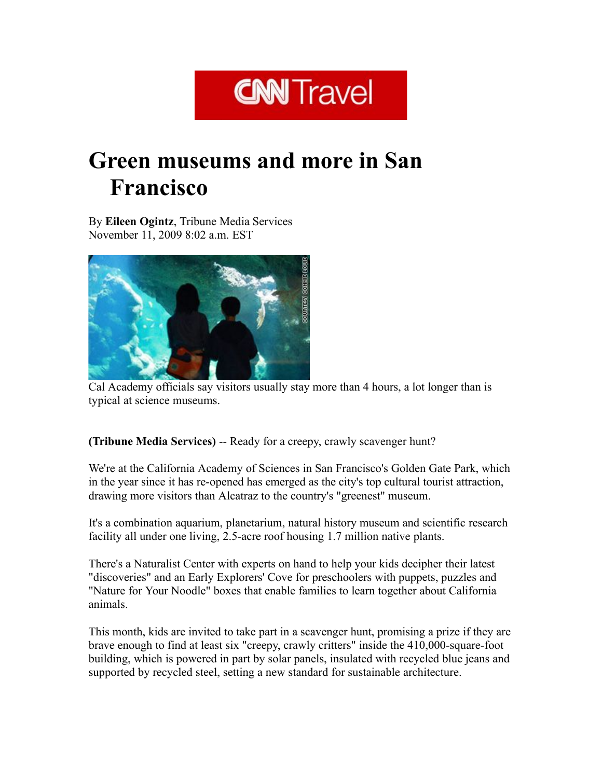## **CNN** Travel

## Green museums and more in San Francisco

By Eileen Ogintz, Tribune Media Services November 11, 2009 8:02 a.m. EST



Cal Academy officials say visitors usually stay more than 4 hours, a lot longer than is typical at science museums.

(Tribune Media Services) -- Ready for a creepy, crawly scavenger hunt?

We're at the California Academy of Sciences in San Francisco's Golden Gate Park, which in the year since it has re-opened has emerged as the city's top cultural tourist attraction, drawing more visitors than Alcatraz to the country's "greenest" museum.

It's a combination aquarium, planetarium, natural history museum and scientific research facility all under one living, 2.5-acre roof housing 1.7 million native plants.

There's a Naturalist Center with experts on hand to help your kids decipher their latest "discoveries" and an Early Explorers' Cove for preschoolers with puppets, puzzles and "Nature for Your Noodle" boxes that enable families to learn together about California animals.

This month, kids are invited to take part in a scavenger hunt, promising a prize if they are brave enough to find at least six "creepy, crawly critters" inside the 410,000-square-foot building, which is powered in part by solar panels, insulated with recycled blue jeans and supported by recycled steel, setting a new standard for sustainable architecture.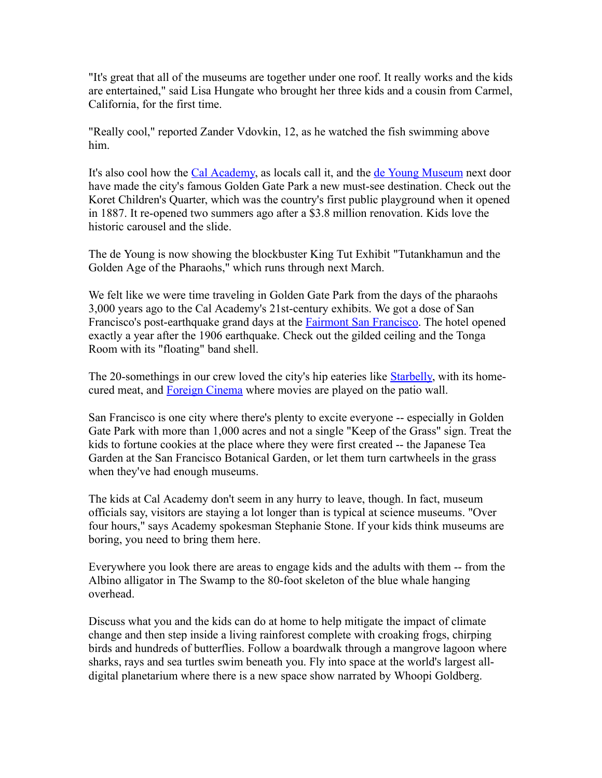"It's great that all of the museums are together under one roof. It really works and the kids are entertained," said Lisa Hungate who brought her three kids and a cousin from Carmel, California, for the first time.

"Really cool," reported Zander Vdovkin, 12, as he watched the fish swimming above him.

It's also cool how the Cal [Academy,](http://www.calacademy.org/) as locals call it, and the de Young [Museum](http://www.famsf.org/deyoung) next door have made the city's famous Golden Gate Park a new must-see destination. Check out the Koret Children's Quarter, which was the country's first public playground when it opened in 1887. It re-opened two summers ago after a \$3.8 million renovation. Kids love the historic carousel and the slide.

The de Young is now showing the blockbuster King Tut Exhibit "Tutankhamun and the Golden Age of the Pharaohs," which runs through next March.

We felt like we were time traveling in Golden Gate Park from the days of the pharaohs 3,000 years ago to the Cal Academy's 21st-century exhibits. We got a dose of San Francisco's post-earthquake grand days at the **Fairmont San Francisco**. The hotel opened exactly a year after the 1906 earthquake. Check out the gilded ceiling and the Tonga Room with its "floating" band shell.

The 20-somethings in our crew loved the city's hip eateries like **Starbelly**, with its homecured meat, and [Foreign](http://www.foreigncinema.com/) Cinema where movies are played on the patio wall.

San Francisco is one city where there's plenty to excite everyone -- especially in Golden Gate Park with more than 1,000 acres and not a single "Keep of the Grass" sign. Treat the kids to fortune cookies at the place where they were first created -- the Japanese Tea Garden at the San Francisco Botanical Garden, or let them turn cartwheels in the grass when they've had enough museums.

The kids at Cal Academy don't seem in any hurry to leave, though. In fact, museum officials say, visitors are staying a lot longer than is typical at science museums. "Over four hours," says Academy spokesman Stephanie Stone. If your kids think museums are boring, you need to bring them here.

Everywhere you look there are areas to engage kids and the adults with them -- from the Albino alligator in The Swamp to the 80-foot skeleton of the blue whale hanging overhead.

Discuss what you and the kids can do at home to help mitigate the impact of climate change and then step inside a living rainforest complete with croaking frogs, chirping birds and hundreds of butterflies. Follow a boardwalk through a mangrove lagoon where sharks, rays and sea turtles swim beneath you. Fly into space at the world's largest alldigital planetarium where there is a new space show narrated by Whoopi Goldberg.